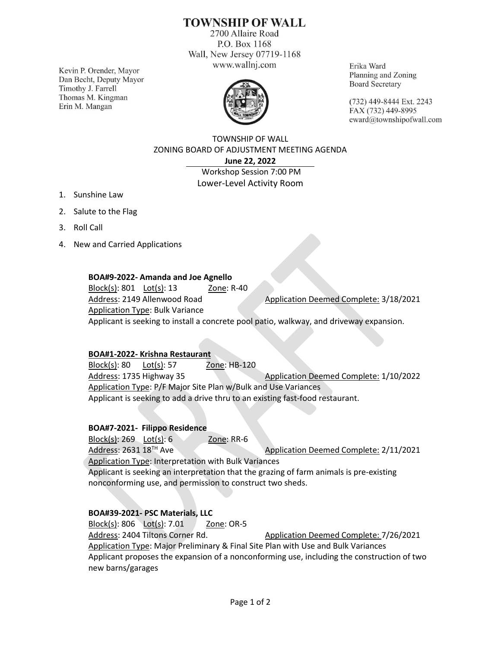# **TOWNSHIP OF WALL**

2700 Allaire Road P.O. Box 1168 Wall, New Jersey 07719-1168 www.wallnj.com

Kevin P. Orender, Mayor Dan Becht, Deputy Mayor Timothy J. Farrell Thomas M. Kingman Erin M. Mangan



Erika Ward Planning and Zoning **Board Secretary** 

(732) 449-8444 Ext. 2243 FAX (732) 449-8995 eward@townshipofwall.com

TOWNSHIP OF WALL ZONING BOARD OF ADJUSTMENT MEETING AGENDA **June 22, 2022**

Workshop Session 7:00 PM Lower-Level Activity Room

- 1. Sunshine Law
- 2. Salute to the Flag
- 3. Roll Call
- 4. New and Carried Applications

### **BOA#9-2022- Amanda and Joe Agnello**

Block(s): 801 Lot(s): 13 Zone: R-40 Address: 2149 Allenwood Road Application Deemed Complete: 3/18/2021 Application Type: Bulk Variance Applicant is seeking to install a concrete pool patio, walkway, and driveway expansion.

#### **BOA#1-2022- Krishna Restaurant**

Block(s): 80 Lot(s): 57 Zone: HB-120 Address: 1735 Highway 35 Application Deemed Complete: 1/10/2022 Application Type: P/F Major Site Plan w/Bulk and Use Variances Applicant is seeking to add a drive thru to an existing fast-food restaurant.

#### **BOA#7-2021- Filippo Residence**

Block(s): 269 Lot(s): 6 Zone: RR-6 Address: 2631 18<sup>TH</sup> Ave Application Deemed Complete: 2/11/2021 Application Type: Interpretation with Bulk Variances Applicant is seeking an interpretation that the grazing of farm animals is pre-existing nonconforming use, and permission to construct two sheds.

#### **BOA#39-2021- PSC Materials, LLC**

Block(s): 806 Lot(s): 7.01 Zone: OR-5 Address: 2404 Tiltons Corner Rd. Application Deemed Complete: 7/26/2021 Application Type: Major Preliminary & Final Site Plan with Use and Bulk Variances Applicant proposes the expansion of a nonconforming use, including the construction of two new barns/garages